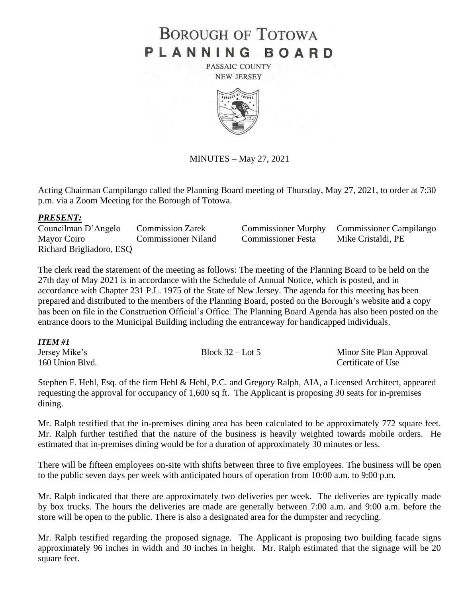# **BOROUGH OF TOTOWA** PLANNING BOARD

PASSAIC COUNTY **NEW JERSEY** 



MINUTES – May 27, 2021

Acting Chairman Campilango called the Planning Board meeting of Thursday, May 27, 2021, to order at 7:30 p.m. via a Zoom Meeting for the Borough of Totowa.

#### *PRESENT:*

Mayor Coiro Commissioner Niland Commissioner Festa Mike Cristaldi, PE Richard Brigliadoro, ESQ

Councilman D'Angelo Commission Zarek Commissioner Murphy Commissioner Campilango

The clerk read the statement of the meeting as follows: The meeting of the Planning Board to be held on the 27th day of May 2021 is in accordance with the Schedule of Annual Notice, which is posted, and in accordance with Chapter 231 P.L. 1975 of the State of New Jersey. The agenda for this meeting has been prepared and distributed to the members of the Planning Board, posted on the Borough's website and a copy has been on file in the Construction Official's Office. The Planning Board Agenda has also been posted on the entrance doors to the Municipal Building including the entranceway for handicapped individuals.

# *ITEM #1*

| Jersey Mike's   | Block $32 -$ Lot 5 | Minor Site Plan Approval |
|-----------------|--------------------|--------------------------|
| 160 Union Blvd. |                    | Certificate of Use       |

Stephen F. Hehl, Esq. of the firm Hehl & Hehl, P.C. and Gregory Ralph, AIA, a Licensed Architect, appeared requesting the approval for occupancy of 1,600 sq ft. The Applicant is proposing 30 seats for in-premises dining.

Mr. Ralph testified that the in-premises dining area has been calculated to be approximately 772 square feet. Mr. Ralph further testified that the nature of the business is heavily weighted towards mobile orders. He estimated that in-premises dining would be for a duration of approximately 30 minutes or less.

There will be fifteen employees on-site with shifts between three to five employees. The business will be open to the public seven days per week with anticipated hours of operation from 10:00 a.m. to 9:00 p.m.

Mr. Ralph indicated that there are approximately two deliveries per week. The deliveries are typically made by box trucks. The hours the deliveries are made are generally between 7:00 a.m. and 9:00 a.m. before the store will be open to the public. There is also a designated area for the dumpster and recycling.

Mr. Ralph testified regarding the proposed signage. The Applicant is proposing two building facade signs approximately 96 inches in width and 30 inches in height. Mr. Ralph estimated that the signage will be 20 square feet.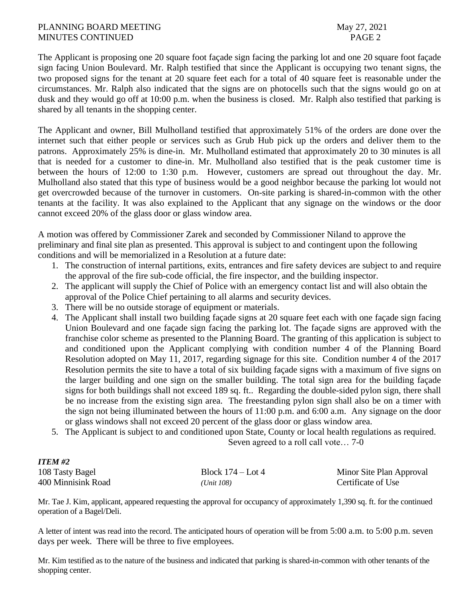#### PLANNING BOARD MEETING May 27, 2021 MINUTES CONTINUED **PAGE 2**

The Applicant is proposing one 20 square foot façade sign facing the parking lot and one 20 square foot façade sign facing Union Boulevard. Mr. Ralph testified that since the Applicant is occupying two tenant signs, the two proposed signs for the tenant at 20 square feet each for a total of 40 square feet is reasonable under the circumstances. Mr. Ralph also indicated that the signs are on photocells such that the signs would go on at dusk and they would go off at 10:00 p.m. when the business is closed. Mr. Ralph also testified that parking is shared by all tenants in the shopping center.

The Applicant and owner, Bill Mulholland testified that approximately 51% of the orders are done over the internet such that either people or services such as Grub Hub pick up the orders and deliver them to the patrons. Approximately 25% is dine-in. Mr. Mulholland estimated that approximately 20 to 30 minutes is all that is needed for a customer to dine-in. Mr. Mulholland also testified that is the peak customer time is between the hours of 12:00 to 1:30 p.m. However, customers are spread out throughout the day. Mr. Mulholland also stated that this type of business would be a good neighbor because the parking lot would not get overcrowded because of the turnover in customers. On-site parking is shared-in-common with the other tenants at the facility. It was also explained to the Applicant that any signage on the windows or the door cannot exceed 20% of the glass door or glass window area.

A motion was offered by Commissioner Zarek and seconded by Commissioner Niland to approve the preliminary and final site plan as presented. This approval is subject to and contingent upon the following conditions and will be memorialized in a Resolution at a future date:

- 1. The construction of internal partitions, exits, entrances and fire safety devices are subject to and require the approval of the fire sub-code official, the fire inspector, and the building inspector.
- 2. The applicant will supply the Chief of Police with an emergency contact list and will also obtain the approval of the Police Chief pertaining to all alarms and security devices.
- 3. There will be no outside storage of equipment or materials.
- 4. The Applicant shall install two building façade signs at 20 square feet each with one façade sign facing Union Boulevard and one façade sign facing the parking lot. The façade signs are approved with the franchise color scheme as presented to the Planning Board. The granting of this application is subject to and conditioned upon the Applicant complying with condition number 4 of the Planning Board Resolution adopted on May 11, 2017, regarding signage for this site. Condition number 4 of the 2017 Resolution permits the site to have a total of six building façade signs with a maximum of five signs on the larger building and one sign on the smaller building. The total sign area for the building façade signs for both buildings shall not exceed 189 sq. ft.. Regarding the double-sided pylon sign, there shall be no increase from the existing sign area. The freestanding pylon sign shall also be on a timer with the sign not being illuminated between the hours of 11:00 p.m. and 6:00 a.m. Any signage on the door or glass windows shall not exceed 20 percent of the glass door or glass window area.
- 5. The Applicant is subject to and conditioned upon State, County or local health regulations as required.

Seven agreed to a roll call vote… 7-0

| <b>ITEM #2</b>     |                     |                          |
|--------------------|---------------------|--------------------------|
| 108 Tasty Bagel    | Block $174 -$ Lot 4 | Minor Site Plan Approval |
| 400 Minnisink Road | (Unit 108)          | Certificate of Use       |

Mr. Tae J. Kim, applicant, appeared requesting the approval for occupancy of approximately 1,390 sq. ft. for the continued operation of a Bagel/Deli.

A letter of intent was read into the record. The anticipated hours of operation will be from 5:00 a.m. to 5:00 p.m. seven days per week. There will be three to five employees.

Mr. Kim testified as to the nature of the business and indicated that parking is shared-in-common with other tenants of the shopping center.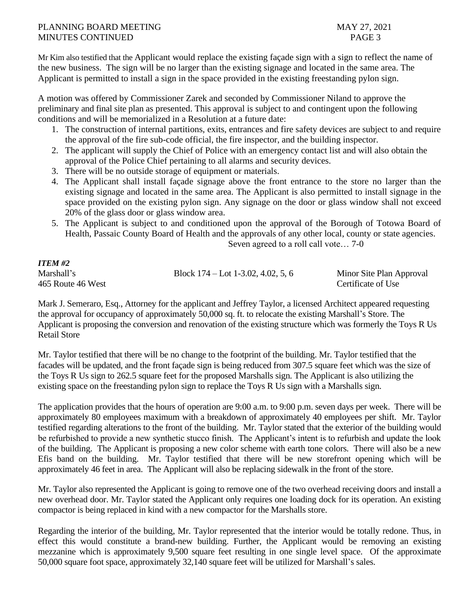### PLANNING BOARD MEETING MAY 27, 2021 MINUTES CONTINUED **PAGE 3**

Mr Kim also testified that the Applicant would replace the existing façade sign with a sign to reflect the name of the new business. The sign will be no larger than the existing signage and located in the same area. The Applicant is permitted to install a sign in the space provided in the existing freestanding pylon sign.

A motion was offered by Commissioner Zarek and seconded by Commissioner Niland to approve the preliminary and final site plan as presented. This approval is subject to and contingent upon the following conditions and will be memorialized in a Resolution at a future date:

- 1. The construction of internal partitions, exits, entrances and fire safety devices are subject to and require the approval of the fire sub-code official, the fire inspector, and the building inspector.
- 2. The applicant will supply the Chief of Police with an emergency contact list and will also obtain the approval of the Police Chief pertaining to all alarms and security devices.
- 3. There will be no outside storage of equipment or materials.
- 4. The Applicant shall install façade signage above the front entrance to the store no larger than the existing signage and located in the same area. The Applicant is also permitted to install signage in the space provided on the existing pylon sign. Any signage on the door or glass window shall not exceed 20% of the glass door or glass window area.
- 5. The Applicant is subject to and conditioned upon the approval of the Borough of Totowa Board of Health, Passaic County Board of Health and the approvals of any other local, county or state agencies.

Seven agreed to a roll call vote… 7-0

| <b>ITEM #2</b>    |                                      |                          |
|-------------------|--------------------------------------|--------------------------|
| Marshall's        | Block $174 -$ Lot 1-3.02, 4.02, 5, 6 | Minor Site Plan Approval |
| 465 Route 46 West |                                      | Certificate of Use       |

Mark J. Semeraro, Esq., Attorney for the applicant and Jeffrey Taylor, a licensed Architect appeared requesting the approval for occupancy of approximately 50,000 sq. ft. to relocate the existing Marshall's Store. The Applicant is proposing the conversion and renovation of the existing structure which was formerly the Toys R Us Retail Store

Mr. Taylor testified that there will be no change to the footprint of the building. Mr. Taylor testified that the facades will be updated, and the front façade sign is being reduced from 307.5 square feet which was the size of the Toys R Us sign to 262.5 square feet for the proposed Marshalls sign. The Applicant is also utilizing the existing space on the freestanding pylon sign to replace the Toys R Us sign with a Marshalls sign.

The application provides that the hours of operation are 9:00 a.m. to 9:00 p.m. seven days per week. There will be approximately 80 employees maximum with a breakdown of approximately 40 employees per shift. Mr. Taylor testified regarding alterations to the front of the building. Mr. Taylor stated that the exterior of the building would be refurbished to provide a new synthetic stucco finish. The Applicant's intent is to refurbish and update the look of the building. The Applicant is proposing a new color scheme with earth tone colors. There will also be a new Efis band on the building. Mr. Taylor testified that there will be new storefront opening which will be approximately 46 feet in area. The Applicant will also be replacing sidewalk in the front of the store.

Mr. Taylor also represented the Applicant is going to remove one of the two overhead receiving doors and install a new overhead door. Mr. Taylor stated the Applicant only requires one loading dock for its operation. An existing compactor is being replaced in kind with a new compactor for the Marshalls store.

Regarding the interior of the building, Mr. Taylor represented that the interior would be totally redone. Thus, in effect this would constitute a brand-new building. Further, the Applicant would be removing an existing mezzanine which is approximately 9,500 square feet resulting in one single level space. Of the approximate 50,000 square foot space, approximately 32,140 square feet will be utilized for Marshall's sales.